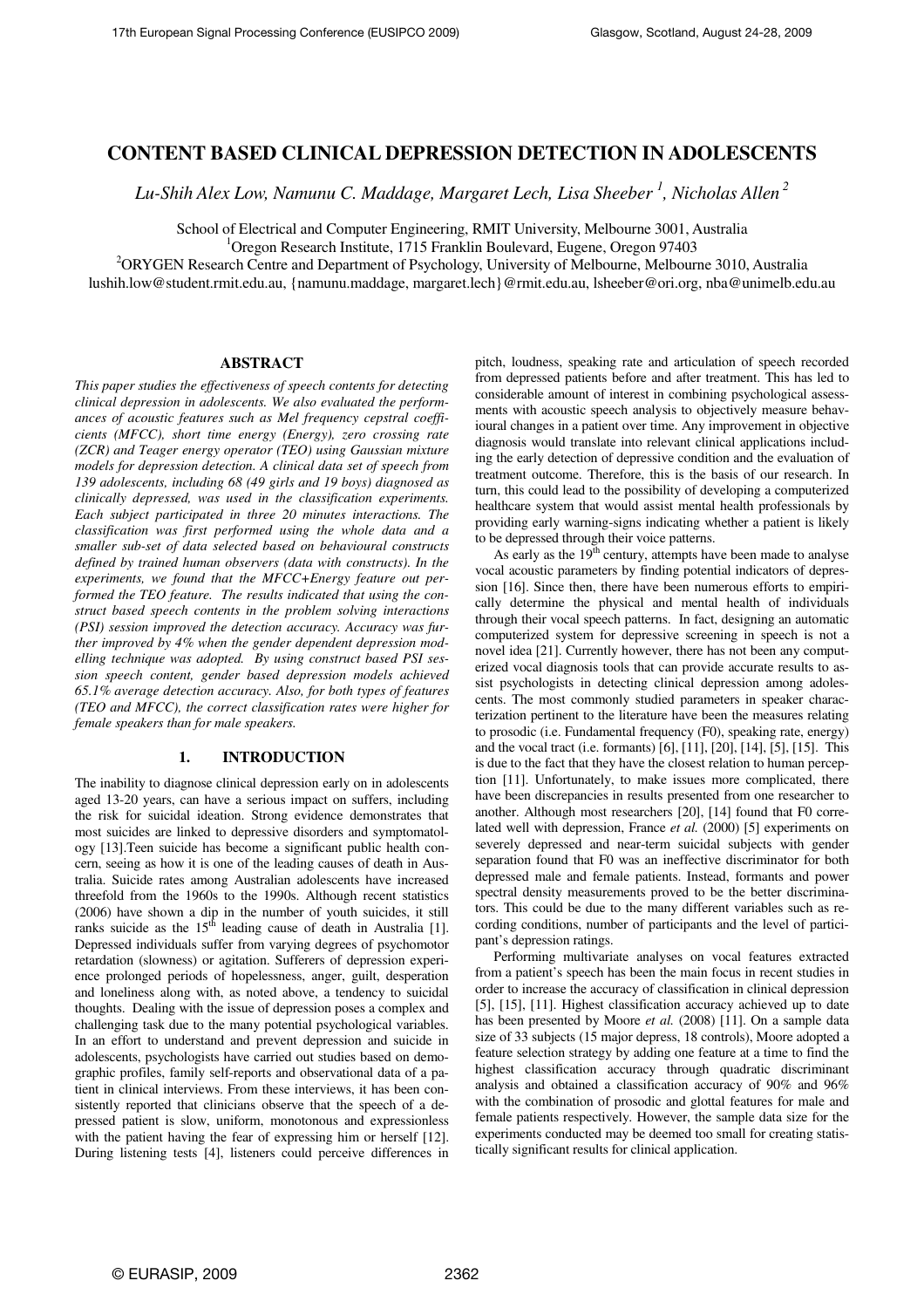# **CONTENT BASED CLINICAL DEPRESSION DETECTION IN ADOLESCENTS**

*Lu-Shih Alex Low, Namunu C. Maddage, Margaret Lech, Lisa Sheeber <sup>1</sup> , Nicholas Allen<sup>2</sup>* 

School of Electrical and Computer Engineering, RMIT University, Melbourne 3001, Australia

 $1$ Oregon Research Institute, 1715 Franklin Boulevard, Eugene, Oregon 97403

<sup>2</sup>ORYGEN Research Centre and Department of Psychology, University of Melbourne, Melbourne 3010, Australia

lushih.low@student.rmit.edu.au, {namunu.maddage, margaret.lech}@rmit.edu.au, lsheeber@ori.org, nba@unimelb.edu.au

# **ABSTRACT**

*This paper studies the effectiveness of speech contents for detecting clinical depression in adolescents. We also evaluated the performances of acoustic features such as Mel frequency cepstral coefficients (MFCC), short time energy (Energy), zero crossing rate (ZCR) and Teager energy operator (TEO) using Gaussian mixture models for depression detection. A clinical data set of speech from 139 adolescents, including 68 (49 girls and 19 boys) diagnosed as clinically depressed, was used in the classification experiments. Each subject participated in three 20 minutes interactions. The classification was first performed using the whole data and a smaller sub-set of data selected based on behavioural constructs defined by trained human observers (data with constructs). In the experiments, we found that the MFCC+Energy feature out performed the TEO feature. The results indicated that using the construct based speech contents in the problem solving interactions (PSI) session improved the detection accuracy. Accuracy was further improved by 4% when the gender dependent depression modelling technique was adopted. By using construct based PSI session speech content, gender based depression models achieved 65.1% average detection accuracy. Also, for both types of features (TEO and MFCC), the correct classification rates were higher for female speakers than for male speakers.* 

# **1. INTRODUCTION**

The inability to diagnose clinical depression early on in adolescents aged 13-20 years, can have a serious impact on suffers, including the risk for suicidal ideation. Strong evidence demonstrates that most suicides are linked to depressive disorders and symptomatology [13].Teen suicide has become a significant public health concern, seeing as how it is one of the leading causes of death in Australia. Suicide rates among Australian adolescents have increased threefold from the 1960s to the 1990s. Although recent statistics (2006) have shown a dip in the number of youth suicides, it still ranks suicide as the  $15<sup>th</sup>$  leading cause of death in Australia [1]. Depressed individuals suffer from varying degrees of psychomotor retardation (slowness) or agitation. Sufferers of depression experience prolonged periods of hopelessness, anger, guilt, desperation and loneliness along with, as noted above, a tendency to suicidal thoughts. Dealing with the issue of depression poses a complex and challenging task due to the many potential psychological variables. In an effort to understand and prevent depression and suicide in adolescents, psychologists have carried out studies based on demographic profiles, family self-reports and observational data of a patient in clinical interviews. From these interviews, it has been consistently reported that clinicians observe that the speech of a depressed patient is slow, uniform, monotonous and expressionless with the patient having the fear of expressing him or herself [12]. During listening tests [4], listeners could perceive differences in pitch, loudness, speaking rate and articulation of speech recorded from depressed patients before and after treatment. This has led to considerable amount of interest in combining psychological assessments with acoustic speech analysis to objectively measure behavioural changes in a patient over time. Any improvement in objective diagnosis would translate into relevant clinical applications including the early detection of depressive condition and the evaluation of treatment outcome. Therefore, this is the basis of our research. In turn, this could lead to the possibility of developing a computerized healthcare system that would assist mental health professionals by providing early warning-signs indicating whether a patient is likely to be depressed through their voice patterns.

As early as the  $19<sup>th</sup>$  century, attempts have been made to analyse vocal acoustic parameters by finding potential indicators of depression [16]. Since then, there have been numerous efforts to empirically determine the physical and mental health of individuals through their vocal speech patterns. In fact, designing an automatic computerized system for depressive screening in speech is not a novel idea [21]. Currently however, there has not been any computerized vocal diagnosis tools that can provide accurate results to assist psychologists in detecting clinical depression among adolescents. The most commonly studied parameters in speaker characterization pertinent to the literature have been the measures relating to prosodic (i.e. Fundamental frequency (F0), speaking rate, energy) and the vocal tract (i.e. formants) [6], [11], [20], [14], [5], [15]. This is due to the fact that they have the closest relation to human perception [11]. Unfortunately, to make issues more complicated, there have been discrepancies in results presented from one researcher to another. Although most researchers [20], [14] found that F0 correlated well with depression, France *et al.* (2000) [5] experiments on severely depressed and near-term suicidal subjects with gender separation found that F0 was an ineffective discriminator for both depressed male and female patients. Instead, formants and power spectral density measurements proved to be the better discriminators. This could be due to the many different variables such as recording conditions, number of participants and the level of participant's depression ratings.

Performing multivariate analyses on vocal features extracted from a patient's speech has been the main focus in recent studies in order to increase the accuracy of classification in clinical depression [5], [15], [11]. Highest classification accuracy achieved up to date has been presented by Moore *et al.* (2008) [11]. On a sample data size of 33 subjects (15 major depress, 18 controls), Moore adopted a feature selection strategy by adding one feature at a time to find the highest classification accuracy through quadratic discriminant analysis and obtained a classification accuracy of 90% and 96% with the combination of prosodic and glottal features for male and female patients respectively. However, the sample data size for the experiments conducted may be deemed too small for creating statistically significant results for clinical application.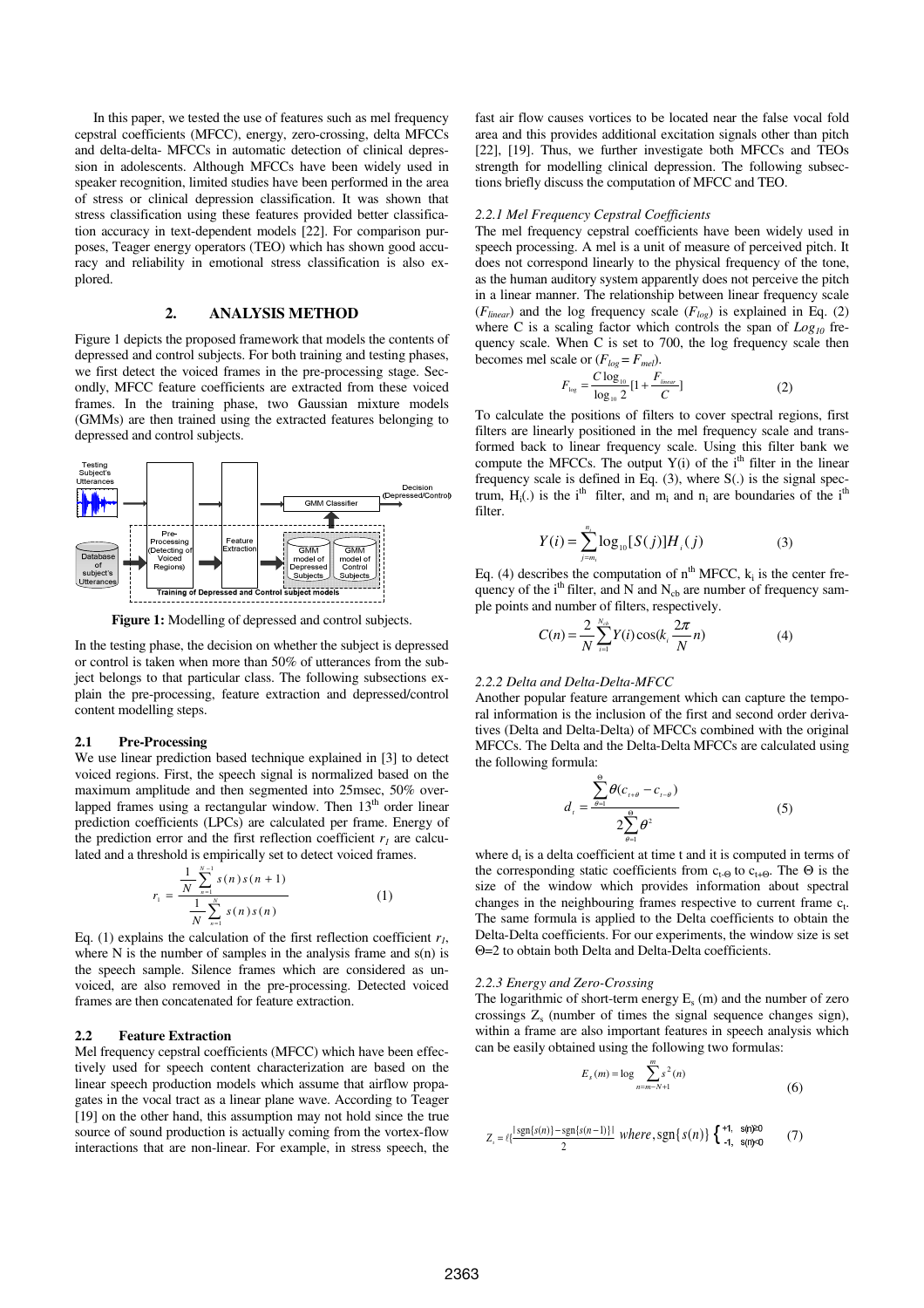In this paper, we tested the use of features such as mel frequency cepstral coefficients (MFCC), energy, zero-crossing, delta MFCCs and delta-delta- MFCCs in automatic detection of clinical depression in adolescents. Although MFCCs have been widely used in speaker recognition, limited studies have been performed in the area of stress or clinical depression classification. It was shown that stress classification using these features provided better classification accuracy in text-dependent models [22]. For comparison purposes, Teager energy operators (TEO) which has shown good accuracy and reliability in emotional stress classification is also explored.

# **2. ANALYSIS METHOD**

Figure 1 depicts the proposed framework that models the contents of depressed and control subjects. For both training and testing phases, we first detect the voiced frames in the pre-processing stage. Secondly, MFCC feature coefficients are extracted from these voiced frames. In the training phase, two Gaussian mixture models (GMMs) are then trained using the extracted features belonging to depressed and control subjects.



Figure 1: Modelling of depressed and control subjects.

In the testing phase, the decision on whether the subject is depressed or control is taken when more than 50% of utterances from the subject belongs to that particular class. The following subsections explain the pre-processing, feature extraction and depressed/control content modelling steps.

### **2.1 Pre-Processing**

We use linear prediction based technique explained in [3] to detect voiced regions. First, the speech signal is normalized based on the maximum amplitude and then segmented into 25msec, 50% overlapped frames using a rectangular window. Then  $13<sup>th</sup>$  order linear prediction coefficients (LPCs) are calculated per frame. Energy of the prediction error and the first reflection coefficient  $r<sub>l</sub>$  are calculated and a threshold is empirically set to detect voiced frames.

$$
r_{1} = \frac{\frac{1}{N} \sum_{n=1}^{N-1} s(n) s(n+1)}{\frac{1}{N} \sum_{n=1}^{N} s(n) s(n)}
$$
(1)

Eq. (1) explains the calculation of the first reflection coefficient  $r<sub>l</sub>$ , where N is the number of samples in the analysis frame and  $s(n)$  is the speech sample. Silence frames which are considered as unvoiced, are also removed in the pre-processing. Detected voiced frames are then concatenated for feature extraction.

### **2.2 Feature Extraction**

Mel frequency cepstral coefficients (MFCC) which have been effectively used for speech content characterization are based on the linear speech production models which assume that airflow propagates in the vocal tract as a linear plane wave. According to Teager [19] on the other hand, this assumption may not hold since the true source of sound production is actually coming from the vortex-flow interactions that are non-linear. For example, in stress speech, the fast air flow causes vortices to be located near the false vocal fold area and this provides additional excitation signals other than pitch [22], [19]. Thus, we further investigate both MFCCs and TEOs strength for modelling clinical depression. The following subsections briefly discuss the computation of MFCC and TEO.

### *2.2.1 Mel Frequency Cepstral Coefficients*

The mel frequency cepstral coefficients have been widely used in speech processing. A mel is a unit of measure of perceived pitch. It does not correspond linearly to the physical frequency of the tone, as the human auditory system apparently does not perceive the pitch in a linear manner. The relationship between linear frequency scale (*Flinear*) and the log frequency scale (*Flog*) is explained in Eq. (2) where C is a scaling factor which controls the span of *Log<sup>10</sup>* frequency scale. When C is set to 700, the log frequency scale then becomes mel scale or  $(F_{log} = F_{mel})$ .

$$
F_{\text{log}} = \frac{C \log_{10}}{\log_{10} 2} [1 + \frac{F_{\text{linear}}}{C}]
$$
 (2)

To calculate the positions of filters to cover spectral regions, first filters are linearly positioned in the mel frequency scale and transformed back to linear frequency scale. Using this filter bank we compute the MFCCs. The output  $Y(i)$  of the  $i<sup>th</sup>$  filter in the linear frequency scale is defined in Eq. (3), where S(.) is the signal spectrum,  $H_i(.)$  is the i<sup>th</sup> filter, and m<sub>i</sub> and n<sub>i</sub> are boundaries of the i<sup>th</sup> filter.

$$
Y(i) = \sum_{j=m_i}^{n_i} \log_{10}[S(j)]H_i(j)
$$
 (3)

Eq. (4) describes the computation of  $n<sup>th</sup>$  MFCC,  $k<sub>i</sub>$  is the center frequency of the  $i<sup>th</sup>$  filter, and N and N<sub>cb</sub> are number of frequency sample points and number of filters, respectively.

$$
C(n) = \frac{2}{N} \sum_{i=1}^{N_{\text{obs}}} Y(i) \cos(k_i \frac{2\pi}{N} n)
$$
 (4)

### *2.2.2 Delta and Delta-Delta-MFCC*

Another popular feature arrangement which can capture the temporal information is the inclusion of the first and second order derivatives (Delta and Delta-Delta) of MFCCs combined with the original MFCCs. The Delta and the Delta-Delta MFCCs are calculated using the following formula:

$$
d_{i} = \frac{\sum_{\theta=1}^{\Theta} \theta(c_{i+\theta} - c_{i-\theta})}{2\sum_{\theta=1}^{\Theta} \theta^{2}}
$$
 (5)

where  $d_t$  is a delta coefficient at time t and it is computed in terms of the corresponding static coefficients from  $c_{t-Θ}$  to  $c_{t+Θ}$ . The  $Θ$  is the size of the window which provides information about spectral changes in the neighbouring frames respective to current frame  $c_t$ . The same formula is applied to the Delta coefficients to obtain the Delta-Delta coefficients. For our experiments, the window size is set Θ=2 to obtain both Delta and Delta-Delta coefficients.

#### *2.2.3 Energy and Zero-Crossing*

The logarithmic of short-term energy  $E_s$  (m) and the number of zero crossings  $Z_s$  (number of times the signal sequence changes sign), within a frame are also important features in speech analysis which can be easily obtained using the following two formulas:

$$
E_s(m) = \log \sum_{n=m-N+1}^{m} s^2(n)
$$
 (6)

$$
Z_{n} = \ell \left\{ \frac{\left[ \text{sgn}\{s(n)\} - \text{sgn}\{s(n-1)\} \right]}{2} \text{ where, } \text{sgn}\{s(n)\} \right\} \begin{cases} +1, & \text{snp20} \\ -1, & \text{snp30} \end{cases} \tag{7}
$$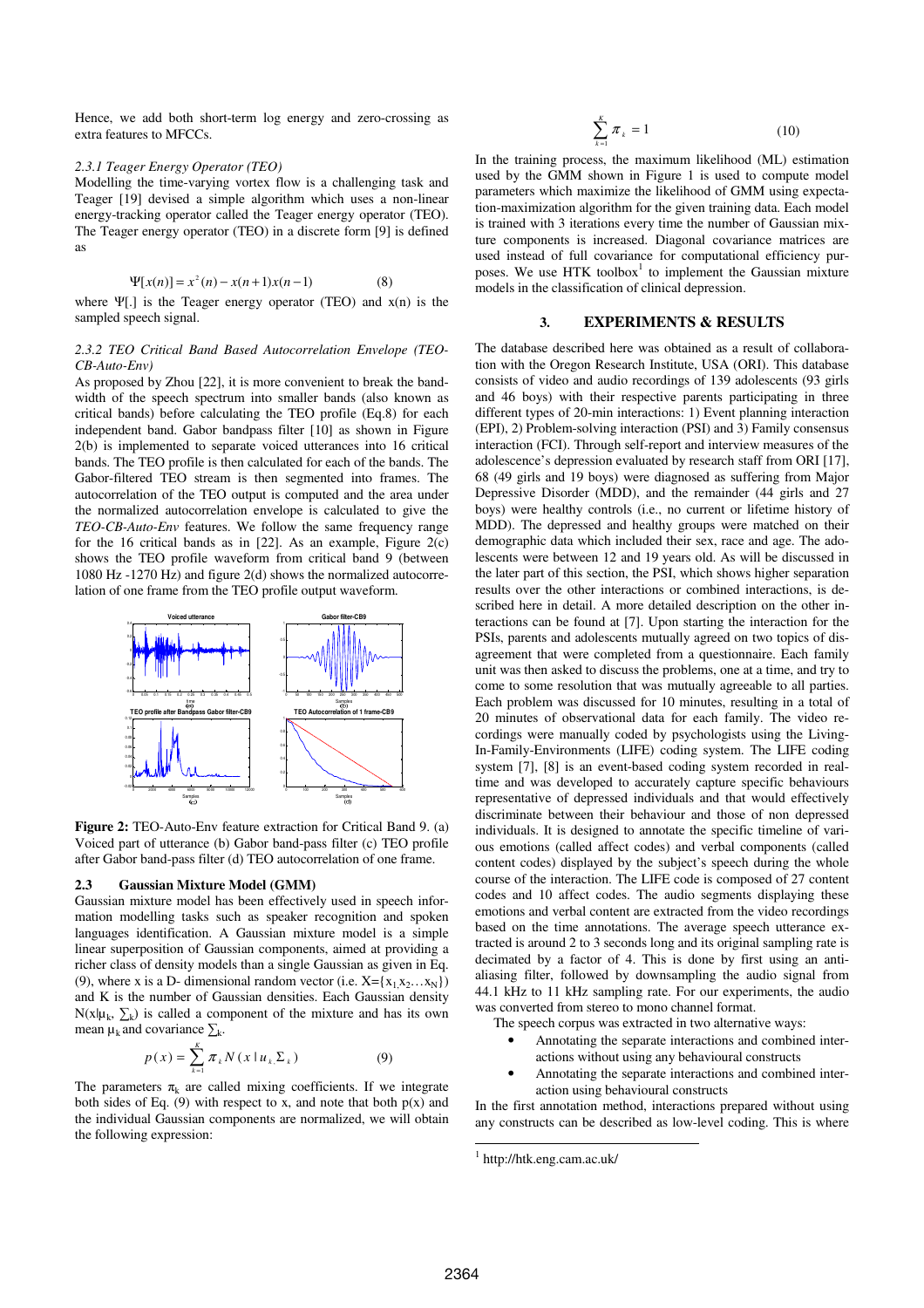Hence, we add both short-term log energy and zero-crossing as extra features to MFCCs.

#### *2.3.1 Teager Energy Operator (TEO)*

Modelling the time-varying vortex flow is a challenging task and Teager [19] devised a simple algorithm which uses a non-linear energy-tracking operator called the Teager energy operator (TEO). The Teager energy operator (TEO) in a discrete form [9] is defined as

$$
\Psi[x(n)] = x^2(n) - x(n+1)x(n-1)
$$
 (8)

where  $\Psi$ [.] is the Teager energy operator (TEO) and  $x(n)$  is the sampled speech signal.

# *2.3.2 TEO Critical Band Based Autocorrelation Envelope (TEO-CB-Auto-Env)*

As proposed by Zhou [22], it is more convenient to break the bandwidth of the speech spectrum into smaller bands (also known as critical bands) before calculating the TEO profile (Eq.8) for each independent band. Gabor bandpass filter [10] as shown in Figure 2(b) is implemented to separate voiced utterances into 16 critical bands. The TEO profile is then calculated for each of the bands. The Gabor-filtered TEO stream is then segmented into frames. The autocorrelation of the TEO output is computed and the area under the normalized autocorrelation envelope is calculated to give the *TEO-CB-Auto-Env* features. We follow the same frequency range for the 16 critical bands as in  $[22]$ . As an example, Figure 2(c) shows the TEO profile waveform from critical band 9 (between 1080 Hz -1270 Hz) and figure 2(d) shows the normalized autocorrelation of one frame from the TEO profile output waveform.



**Figure 2:** TEO-Auto-Env feature extraction for Critical Band 9. (a) Voiced part of utterance (b) Gabor band-pass filter (c) TEO profile after Gabor band-pass filter (d) TEO autocorrelation of one frame.

### **2.3 Gaussian Mixture Model (GMM)**

Gaussian mixture model has been effectively used in speech information modelling tasks such as speaker recognition and spoken languages identification. A Gaussian mixture model is a simple linear superposition of Gaussian components, aimed at providing a richer class of density models than a single Gaussian as given in Eq. (9), where x is a D- dimensional random vector (i.e.  $X = \{x_1, x_2, \ldots, x_N\}$ ) and K is the number of Gaussian densities. Each Gaussian density  $N(x|\mu_k, \sum_k)$  is called a component of the mixture and has its own mean  $\mu_k$  and covariance  $\sum_k$ .

$$
p(x) = \sum_{k=1}^{K} \pi_k N(x | u_k, \Sigma_k)
$$
 (9)

The parameters  $\pi_k$  are called mixing coefficients. If we integrate both sides of Eq. (9) with respect to x, and note that both  $p(x)$  and the individual Gaussian components are normalized, we will obtain the following expression:

$$
\sum_{k=1}^{K} \pi_k = 1 \tag{10}
$$

In the training process, the maximum likelihood (ML) estimation used by the GMM shown in Figure 1 is used to compute model parameters which maximize the likelihood of GMM using expectation-maximization algorithm for the given training data. Each model is trained with 3 iterations every time the number of Gaussian mixture components is increased. Diagonal covariance matrices are used instead of full covariance for computational efficiency purposes. We use HTK toolbox<sup>1</sup> to implement the Gaussian mixture models in the classification of clinical depression.

# **3. EXPERIMENTS & RESULTS**

The database described here was obtained as a result of collaboration with the Oregon Research Institute, USA (ORI). This database consists of video and audio recordings of 139 adolescents (93 girls and 46 boys) with their respective parents participating in three different types of 20-min interactions: 1) Event planning interaction (EPI), 2) Problem-solving interaction (PSI) and 3) Family consensus interaction (FCI). Through self-report and interview measures of the adolescence's depression evaluated by research staff from ORI [17], 68 (49 girls and 19 boys) were diagnosed as suffering from Major Depressive Disorder (MDD), and the remainder (44 girls and 27 boys) were healthy controls (i.e., no current or lifetime history of MDD). The depressed and healthy groups were matched on their demographic data which included their sex, race and age. The adolescents were between 12 and 19 years old. As will be discussed in the later part of this section, the PSI, which shows higher separation results over the other interactions or combined interactions, is described here in detail. A more detailed description on the other interactions can be found at [7]. Upon starting the interaction for the PSIs, parents and adolescents mutually agreed on two topics of disagreement that were completed from a questionnaire. Each family unit was then asked to discuss the problems, one at a time, and try to come to some resolution that was mutually agreeable to all parties. Each problem was discussed for 10 minutes, resulting in a total of 20 minutes of observational data for each family. The video recordings were manually coded by psychologists using the Living-In-Family-Environments (LIFE) coding system. The LIFE coding system [7], [8] is an event-based coding system recorded in realtime and was developed to accurately capture specific behaviours representative of depressed individuals and that would effectively discriminate between their behaviour and those of non depressed individuals. It is designed to annotate the specific timeline of various emotions (called affect codes) and verbal components (called content codes) displayed by the subject's speech during the whole course of the interaction. The LIFE code is composed of 27 content codes and 10 affect codes. The audio segments displaying these emotions and verbal content are extracted from the video recordings based on the time annotations. The average speech utterance extracted is around 2 to 3 seconds long and its original sampling rate is decimated by a factor of 4. This is done by first using an antialiasing filter, followed by downsampling the audio signal from 44.1 kHz to 11 kHz sampling rate. For our experiments, the audio was converted from stereo to mono channel format.

The speech corpus was extracted in two alternative ways:

- Annotating the separate interactions and combined interactions without using any behavioural constructs
- Annotating the separate interactions and combined interaction using behavioural constructs

In the first annotation method, interactions prepared without using any constructs can be described as low-level coding. This is where

 $\overline{a}$ 

<sup>1</sup> http://htk.eng.cam.ac.uk/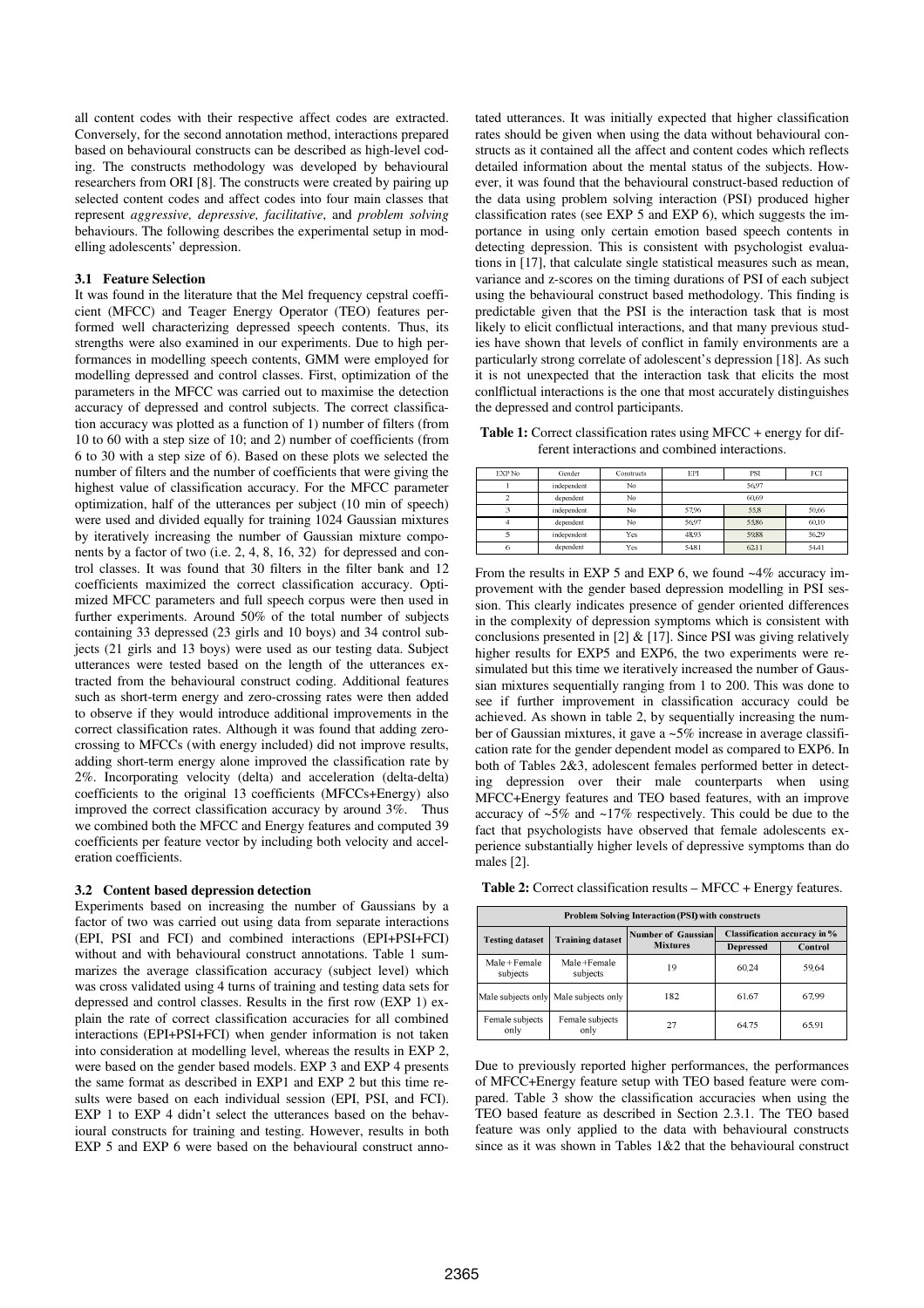all content codes with their respective affect codes are extracted. Conversely, for the second annotation method, interactions prepared based on behavioural constructs can be described as high-level coding. The constructs methodology was developed by behavioural researchers from ORI [8]. The constructs were created by pairing up selected content codes and affect codes into four main classes that represent *aggressive, depressive, facilitative*, and *problem solving* behaviours. The following describes the experimental setup in modelling adolescents' depression.

# **3.1 Feature Selection**

It was found in the literature that the Mel frequency cepstral coefficient (MFCC) and Teager Energy Operator (TEO) features performed well characterizing depressed speech contents. Thus, its strengths were also examined in our experiments. Due to high performances in modelling speech contents, GMM were employed for modelling depressed and control classes. First, optimization of the parameters in the MFCC was carried out to maximise the detection accuracy of depressed and control subjects. The correct classification accuracy was plotted as a function of 1) number of filters (from 10 to 60 with a step size of 10; and 2) number of coefficients (from 6 to 30 with a step size of 6). Based on these plots we selected the number of filters and the number of coefficients that were giving the highest value of classification accuracy. For the MFCC parameter optimization, half of the utterances per subject (10 min of speech) were used and divided equally for training 1024 Gaussian mixtures by iteratively increasing the number of Gaussian mixture components by a factor of two (i.e. 2, 4, 8, 16, 32) for depressed and control classes. It was found that 30 filters in the filter bank and 12 coefficients maximized the correct classification accuracy. Optimized MFCC parameters and full speech corpus were then used in further experiments. Around 50% of the total number of subjects containing 33 depressed (23 girls and 10 boys) and 34 control subjects (21 girls and 13 boys) were used as our testing data. Subject utterances were tested based on the length of the utterances extracted from the behavioural construct coding. Additional features such as short-term energy and zero-crossing rates were then added to observe if they would introduce additional improvements in the correct classification rates. Although it was found that adding zerocrossing to MFCCs (with energy included) did not improve results, adding short-term energy alone improved the classification rate by 2%. Incorporating velocity (delta) and acceleration (delta-delta) coefficients to the original 13 coefficients (MFCCs+Energy) also improved the correct classification accuracy by around 3%. Thus we combined both the MFCC and Energy features and computed 39 coefficients per feature vector by including both velocity and acceleration coefficients.

# **3.2 Content based depression detection**

Experiments based on increasing the number of Gaussians by a factor of two was carried out using data from separate interactions (EPI, PSI and FCI) and combined interactions (EPI+PSI+FCI) without and with behavioural construct annotations. Table 1 summarizes the average classification accuracy (subject level) which was cross validated using 4 turns of training and testing data sets for depressed and control classes. Results in the first row (EXP 1) explain the rate of correct classification accuracies for all combined interactions (EPI+PSI+FCI) when gender information is not taken into consideration at modelling level, whereas the results in EXP 2, were based on the gender based models. EXP 3 and EXP 4 presents the same format as described in EXP1 and EXP 2 but this time results were based on each individual session (EPI, PSI, and FCI). EXP 1 to EXP 4 didn't select the utterances based on the behavioural constructs for training and testing. However, results in both EXP 5 and EXP 6 were based on the behavioural construct annotated utterances. It was initially expected that higher classification rates should be given when using the data without behavioural constructs as it contained all the affect and content codes which reflects detailed information about the mental status of the subjects. However, it was found that the behavioural construct-based reduction of the data using problem solving interaction (PSI) produced higher classification rates (see EXP 5 and EXP 6), which suggests the importance in using only certain emotion based speech contents in detecting depression. This is consistent with psychologist evaluations in [17], that calculate single statistical measures such as mean, variance and z-scores on the timing durations of PSI of each subject using the behavioural construct based methodology. This finding is predictable given that the PSI is the interaction task that is most likely to elicit conflictual interactions, and that many previous studies have shown that levels of conflict in family environments are a particularly strong correlate of adolescent's depression [18]. As such it is not unexpected that the interaction task that elicits the most conlflictual interactions is the one that most accurately distinguishes the depressed and control participants.

Table 1: Correct classification rates using MFCC + energy for different interactions and combined interactions.

| EXP No | Gender      | Constructs | EPI   | PSI   | FCI   |  |
|--------|-------------|------------|-------|-------|-------|--|
|        | independent | No         | 56.97 |       |       |  |
| ∍      | dependent   | No         | 60.69 |       |       |  |
|        | independent | No         | 57.96 | 55.8  | 50.66 |  |
|        | dependent   | No.        | 56.97 | 55.86 | 60.10 |  |
|        | independent | Yes.       | 48.93 | 59.88 | 56.29 |  |
| 6      | dependent   | Yes.       | 54.81 | 6211  | 54.41 |  |

From the results in EXP 5 and EXP 6, we found ~4% accuracy improvement with the gender based depression modelling in PSI session. This clearly indicates presence of gender oriented differences in the complexity of depression symptoms which is consistent with conclusions presented in [2]  $&$  [17]. Since PSI was giving relatively higher results for EXP5 and EXP6, the two experiments were resimulated but this time we iteratively increased the number of Gaussian mixtures sequentially ranging from 1 to 200. This was done to see if further improvement in classification accuracy could be achieved. As shown in table 2, by sequentially increasing the number of Gaussian mixtures, it gave a ~5% increase in average classification rate for the gender dependent model as compared to EXP6. In both of Tables 2&3, adolescent females performed better in detecting depression over their male counterparts when using MFCC+Energy features and TEO based features, with an improve accuracy of ~5% and ~17% respectively. This could be due to the fact that psychologists have observed that female adolescents experience substantially higher levels of depressive symptoms than do males [2].

**Table 2:** Correct classification results – MFCC + Energy features.

| <b>Problem Solving Interaction (PSI) with constructs</b> |                                       |                           |                                     |         |  |  |  |
|----------------------------------------------------------|---------------------------------------|---------------------------|-------------------------------------|---------|--|--|--|
| <b>Testing dataset</b>                                   | <b>Training dataset</b>               | <b>Number of Gaussian</b> | <b>Classification accuracy in %</b> |         |  |  |  |
|                                                          |                                       | <b>Mixtures</b>           | <b>Depressed</b>                    | Control |  |  |  |
| Male + Female<br>subjects                                | Male+Female<br>subjects               | 19                        | 60.24                               | 59.64   |  |  |  |
|                                                          | Male subjects only Male subjects only | 182                       | 61.67                               | 67.99   |  |  |  |
| Female subjects<br>Female subjects<br>only<br>only       |                                       | 27                        | 64.75                               | 65.91   |  |  |  |

Due to previously reported higher performances, the performances of MFCC+Energy feature setup with TEO based feature were compared. Table 3 show the classification accuracies when using the TEO based feature as described in Section 2.3.1. The TEO based feature was only applied to the data with behavioural constructs since as it was shown in Tables 1&2 that the behavioural construct